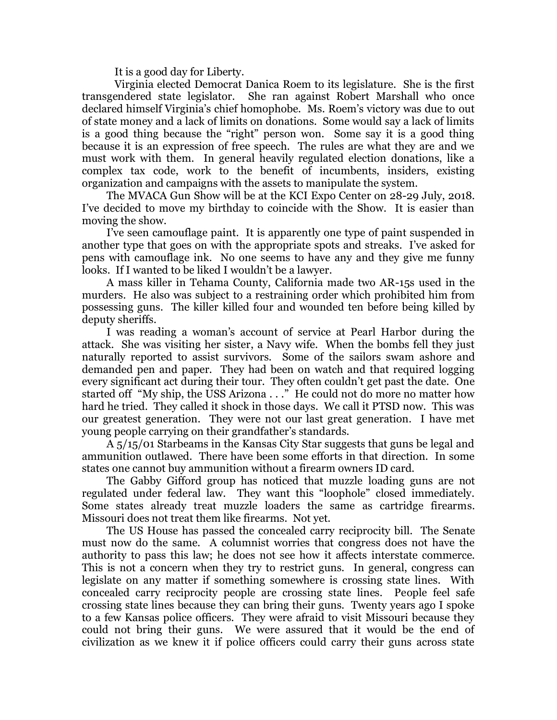It is a good day for Liberty.

Virginia elected Democrat Danica Roem to its legislature. She is the first transgendered state legislator. She ran against Robert Marshall who once declared himself Virginia's chief homophobe. Ms. Roem's victory was due to out of state money and a lack of limits on donations. Some would say a lack of limits is a good thing because the "right" person won. Some say it is a good thing because it is an expression of free speech. The rules are what they are and we must work with them. In general heavily regulated election donations, like a complex tax code, work to the benefit of incumbents, insiders, existing organization and campaigns with the assets to manipulate the system.

The MVACA Gun Show will be at the KCI Expo Center on 28-29 July, 2018. I've decided to move my birthday to coincide with the Show. It is easier than moving the show.

I've seen camouflage paint. It is apparently one type of paint suspended in another type that goes on with the appropriate spots and streaks. I've asked for pens with camouflage ink. No one seems to have any and they give me funny looks. If I wanted to be liked I wouldn't be a lawyer.

A mass killer in Tehama County, California made two AR-15s used in the murders. He also was subject to a restraining order which prohibited him from possessing guns. The killer killed four and wounded ten before being killed by deputy sheriffs.

I was reading a woman's account of service at Pearl Harbor during the attack. She was visiting her sister, a Navy wife. When the bombs fell they just naturally reported to assist survivors. Some of the sailors swam ashore and demanded pen and paper. They had been on watch and that required logging every significant act during their tour. They often couldn't get past the date. One started off "My ship, the USS Arizona . . ." He could not do more no matter how hard he tried. They called it shock in those days. We call it PTSD now. This was our greatest generation. They were not our last great generation. I have met young people carrying on their grandfather's standards.

A 5/15/01 Starbeams in the Kansas City Star suggests that guns be legal and ammunition outlawed. There have been some efforts in that direction. In some states one cannot buy ammunition without a firearm owners ID card.

The Gabby Gifford group has noticed that muzzle loading guns are not regulated under federal law. They want this "loophole" closed immediately. Some states already treat muzzle loaders the same as cartridge firearms. Missouri does not treat them like firearms. Not yet.

The US House has passed the concealed carry reciprocity bill. The Senate must now do the same. A columnist worries that congress does not have the authority to pass this law; he does not see how it affects interstate commerce. This is not a concern when they try to restrict guns. In general, congress can legislate on any matter if something somewhere is crossing state lines. With concealed carry reciprocity people are crossing state lines. People feel safe crossing state lines because they can bring their guns. Twenty years ago I spoke to a few Kansas police officers. They were afraid to visit Missouri because they could not bring their guns. We were assured that it would be the end of civilization as we knew it if police officers could carry their guns across state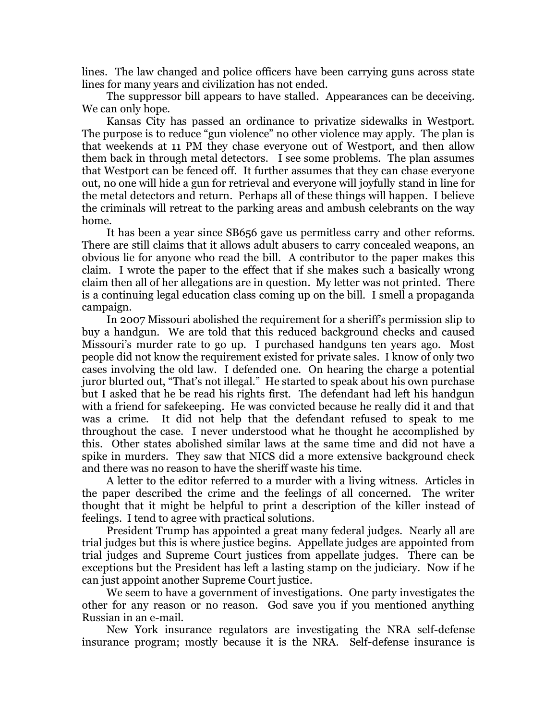lines. The law changed and police officers have been carrying guns across state lines for many years and civilization has not ended.

The suppressor bill appears to have stalled. Appearances can be deceiving. We can only hope.

Kansas City has passed an ordinance to privatize sidewalks in Westport. The purpose is to reduce "gun violence" no other violence may apply. The plan is that weekends at 11 PM they chase everyone out of Westport, and then allow them back in through metal detectors. I see some problems. The plan assumes that Westport can be fenced off. It further assumes that they can chase everyone out, no one will hide a gun for retrieval and everyone will joyfully stand in line for the metal detectors and return. Perhaps all of these things will happen. I believe the criminals will retreat to the parking areas and ambush celebrants on the way home.

It has been a year since SB656 gave us permitless carry and other reforms. There are still claims that it allows adult abusers to carry concealed weapons, an obvious lie for anyone who read the bill. A contributor to the paper makes this claim. I wrote the paper to the effect that if she makes such a basically wrong claim then all of her allegations are in question. My letter was not printed. There is a continuing legal education class coming up on the bill. I smell a propaganda campaign.

In 2007 Missouri abolished the requirement for a sheriff's permission slip to buy a handgun. We are told that this reduced background checks and caused Missouri's murder rate to go up. I purchased handguns ten years ago. Most people did not know the requirement existed for private sales. I know of only two cases involving the old law. I defended one. On hearing the charge a potential juror blurted out, "That's not illegal." He started to speak about his own purchase but I asked that he be read his rights first. The defendant had left his handgun with a friend for safekeeping. He was convicted because he really did it and that was a crime. It did not help that the defendant refused to speak to me throughout the case. I never understood what he thought he accomplished by this. Other states abolished similar laws at the same time and did not have a spike in murders. They saw that NICS did a more extensive background check and there was no reason to have the sheriff waste his time.

A letter to the editor referred to a murder with a living witness. Articles in the paper described the crime and the feelings of all concerned. The writer thought that it might be helpful to print a description of the killer instead of feelings. I tend to agree with practical solutions.

President Trump has appointed a great many federal judges. Nearly all are trial judges but this is where justice begins. Appellate judges are appointed from trial judges and Supreme Court justices from appellate judges. There can be exceptions but the President has left a lasting stamp on the judiciary. Now if he can just appoint another Supreme Court justice.

We seem to have a government of investigations. One party investigates the other for any reason or no reason. God save you if you mentioned anything Russian in an e-mail.

New York insurance regulators are investigating the NRA self-defense insurance program; mostly because it is the NRA. Self-defense insurance is